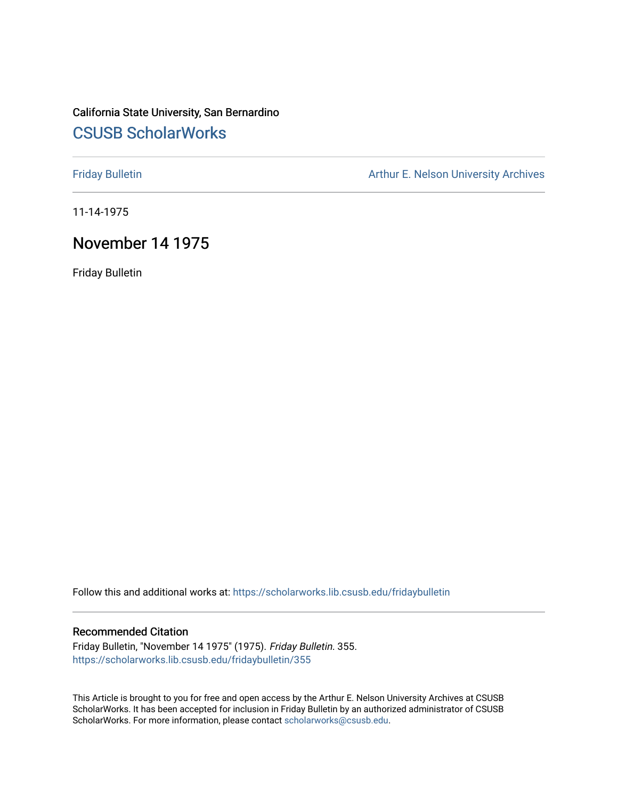# California State University, San Bernardino [CSUSB ScholarWorks](https://scholarworks.lib.csusb.edu/)

[Friday Bulletin](https://scholarworks.lib.csusb.edu/fridaybulletin) **Arthur E. Nelson University Archives** Arthur E. Nelson University Archives

11-14-1975

## November 14 1975

Friday Bulletin

Follow this and additional works at: [https://scholarworks.lib.csusb.edu/fridaybulletin](https://scholarworks.lib.csusb.edu/fridaybulletin?utm_source=scholarworks.lib.csusb.edu%2Ffridaybulletin%2F355&utm_medium=PDF&utm_campaign=PDFCoverPages)

### Recommended Citation

Friday Bulletin, "November 14 1975" (1975). Friday Bulletin. 355. [https://scholarworks.lib.csusb.edu/fridaybulletin/355](https://scholarworks.lib.csusb.edu/fridaybulletin/355?utm_source=scholarworks.lib.csusb.edu%2Ffridaybulletin%2F355&utm_medium=PDF&utm_campaign=PDFCoverPages)

This Article is brought to you for free and open access by the Arthur E. Nelson University Archives at CSUSB ScholarWorks. It has been accepted for inclusion in Friday Bulletin by an authorized administrator of CSUSB ScholarWorks. For more information, please contact [scholarworks@csusb.edu.](mailto:scholarworks@csusb.edu)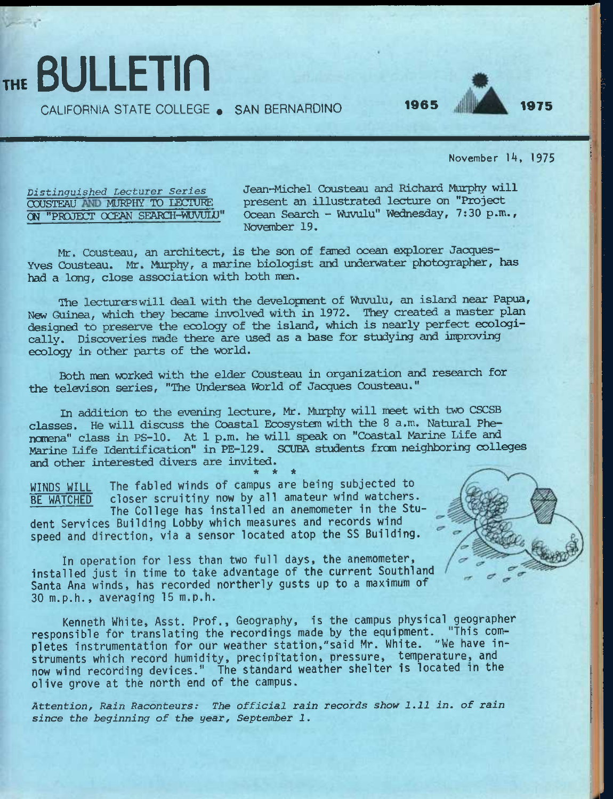## CALIFORNIA STATE COLLEGE • SAN BERNARDINO **1965 1975**



November 14, 1975

*Distinguished Lecturer Series*  OOUSTEAU MURPHY TO lECTURE CN "PPOJECT OCEAN SEAPCH-WUVULU"

THE **BULLETIN** 

Jean-Michel Cousteau and Richard Murphy will present an illustrated lecture on "Project Ocean Search - Wuvulu" Wednesday, 7:30 p.m., November 19.

Mr. Cousteau, an architect, is the son of famed ocean explorer Jacques-Yves Cousteau. Mr. Murphy, a marine biologist and underwater photographer, has had a long, close association with both men.

The lecturerswill deal with the development of Wuvulu, an island near Papua, New Guinea, which they became involved with in 1972. They created a master plan designed to preserve the ecology of the island, which is nearly perfect ecologically. Discoveries made there are used as a base for studying and improving ecology in other parts of the world.

Both men worked with the elder Cousteau in organization and research for the televison series, "The Undersea World of Jacques Cousteau."

In addition to the evening lecture, Mr. Murphy will meet with two CSCSB classes. He will discuss the Coastal Ecosystem with the 8 a.m. Natural Phenorena" class in PS-10. At 1 p.m. he will speak on "Coastal Marine Life and Marine Life Identification" in PE-129. SCUBA students from neighboring colleges and other interested divers are invited. *\* \* \** 

WINDS WILL The fabled winds of campus are being subjected to BE WATCHED closer scruitiny now by all amateur wind watchers. The College has installed an anemometer in the Stu-

dent Services Building Lobby which measures and records wind speed and direction, via a sensor located atop the SS Building.

In operation for less than two full days, the anemometer, installed just in time to take advantage of the current Southland Santa Ana winds, has recorded northerly gusts up to a maximum of 30 m.p.h., averaging 15 m.p.h.

Kenneth White, Asst. Prof., Geography, is the campus physical geographer responsible for translating the recordings made by the equipment. "This completes instrumentation for our weather station,"said Mr. White. "We have instruments which record humidity, precipitation, pressure, temperature, and now wind recording devices." The standard weather shelter is located in the olive grove at the north end of the campus.

*Attention, Rain Raconteurs: The official rain records show 1.11 in. of rain since the beginning of the year, September 1.*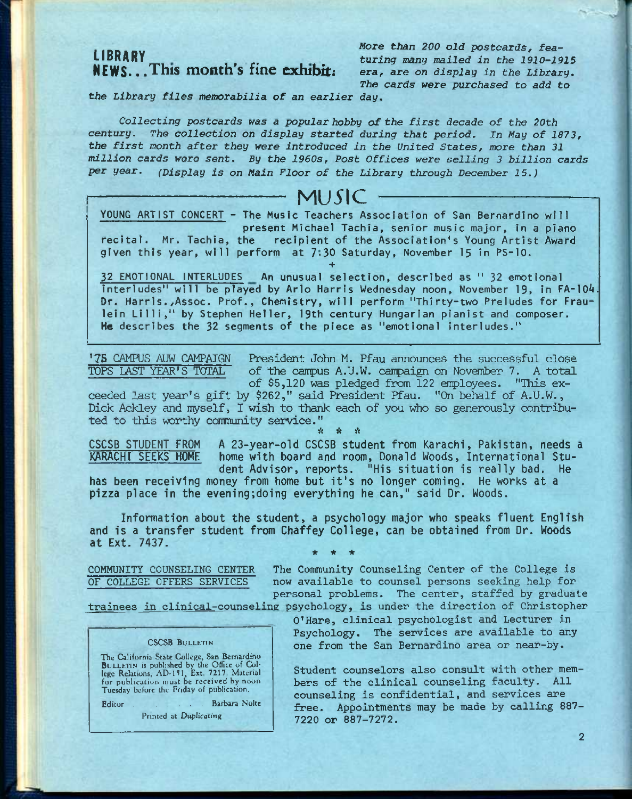# **NEWS.. .This month's fine exhibit** i *era, are on display in the Library.*

I IDDADv Wore *than 200 old postcards, fea*turing many mailed in the 1910-1915<br>era, are on display in the Library. *The cards were purchased to add to* 

*the Library files memorabilia of an earlier day.* 

*Collecting postcards was a popular hobby of the first decade of the 20th*  century. The collection on display started during that period. In May of 1873, *the first month after they were introduced in the United States, more than 31 million cards were sent. By the 1960s, Post Offices were selling 3 billion cards per year. (Display is on Main Floor of the Library through December 15.)* 

# **MU51C**

YOUNG ARTIST CONCERT - The Music Teachers Association of San Bernardino will **EXECUTE:**<br> **present Michael Tachia, senior music major, in a piano<br>
recital. Mr. Tachia, the recipient of the Association's Young Artist Award** recipient of the Association's Young Artist Award given this year, will perform at 7-30 Saturday, November 15 in PS-10. **+** 

32 EMOTIONAL INTERLUDES An unusual selection, described as " 32 emotional interludes" will be played by Arlo Harris Wednesday noon, November 19, in FA-104. Dr. Harris./Assoc. Prof., Chemistry, will perform "Thirty-two Preludes for Fraulein Lilli," by Stephen Heller, 19th century Hungarian pianist and composer. He describes the 32 segments of the piece as "emotional interludes."

The CAMPUS AUW CAMPAIGN President John M. Pfau announces the successful close<br>TOPS LAST YEAR'S TOTAL of the campus A.U.W. campaign on November 7. A total of the campus A.U.W. campaign on November 7. A total of \$5,120 was pledged from 122 employees. "This ex-

ceeded last year's gift by \$262," said President Pfau. "On behalf of A.U.W., Dick Ackley and nyself, I wish to thank each of you who so generously contributed to this worthy community service." *it \* it* 

CSCSB STUDENT FROM A 23-year-old CSCSB student from Karachi, Pakistan, needs a KARACHI SEEKS HOME home with board and room, Donald Woods, International Student Advisor, reports. "His situation is really bad. He

has been receiving money from home but it's no longer coming. He works at a pizza place in the eveningjdoing everything he can," said Dr. Woods.

Information about the student, a psychology major who speaks fluent English and is a transfer student from Chaffey College, can be obtained from Dr. Woods at Ext. 7437.  $\star$   $\star$   $\star$ 

COMMUNITY COUNSELING CENTER The Community Counseling Center of the College is OF COLLEGE OFFERS SERVICES now available to counsel persons seeking help for personal problems. The center, staffed by graduate

trainees in clinical-counseling psychology, is under the direction of Christopher

**CSCSB BULLETIN** 

The California State College, San Bernardino<br>BULLETIN is published by the Office of Col-<br>lege Relations, AD-151, Ext. 7217. Material for publication must be received by noon Tuesday before the Friday of publication.

Editor . . . . . . Barbara Nolte

Printed at Duplicating

O'Hare, clinical psychologist and Lecturer in Psychology, The services are available to any one from the San Bernardino area or near-by.

Student counselors also consult with other members of the clinical counseling faculty. All counseling is confidential, and services are free. Appointments may be made by calling 887- 7220 or 887-7272.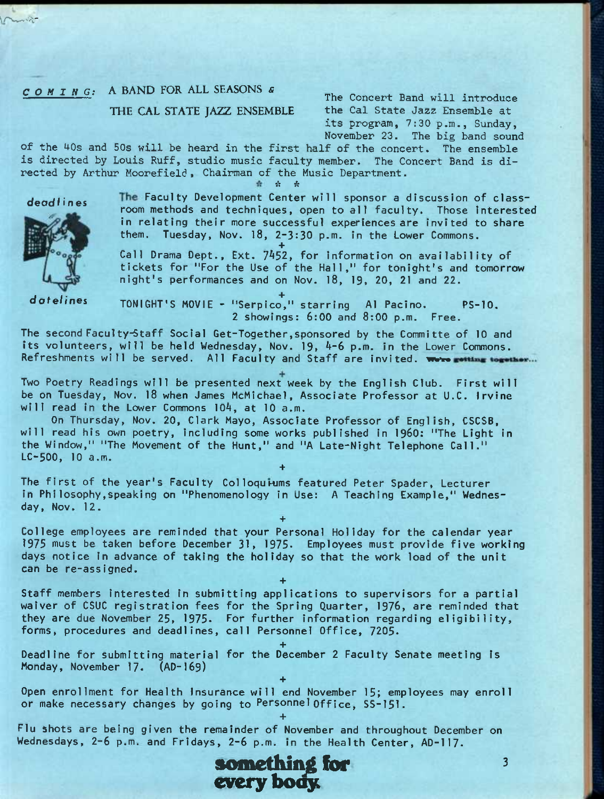## THE CAL STATE JAZZ ENSEMBLE

*COMING:* A BAND FOR ALL SEASONS *s*<br>
The Concert Band will introduce<br>
THE CAL STATE IAZZ ENSEMBLE the Cal State Jazz Ensemble at its program, 7:30 p.m., Sunday, November 23. The big band sound

of the 40s and 50s will be heard in the first half of the concert. The ensemble is directed by Louis Ruff, studio music faculty member. The Concert Band is directed by Arthur Moorefield , Chairman of the Music Department.

sV A

 $\sum_{i=1}^n$ 



deadlines The Faculty Development Center will sponsor a discussion of classroom methods and techniques, open to all faculty. Those interested in relating their more successful experiences are invited to share them. Tuesday, Nov. 18, 2-3:30 p.m. in the Lower Commons.

**+**  Call Drama Dept., Ext. 7^52, for information on availability of tickets for "For the Use of the Hall," for tonight's and tomorrow night's performances and on Nov. 18, 19, 20, 21 and 22.

dotelines TONIGHT'S MOVIE - "Serpico," starring Al Pacino. PS-10. 2 showings: 6:00 and 8:00 p.m. Free.

The second Faculty-Staff Social Get-Together,sponsored by the Committe of 10 and its volunteers, will be held Wednesday, Nov. 19, 4-6 p.m. in the Lower Commons. Refreshments will be served. All Faculty and Staff are invited. Were gotting together...

Two Poetry Readings will be presented next week by the English Club. First will be on Tuesday, Nov. 18 when James McMichael, Associate Professor at U.C. Irvine will read in the Lower Commons 104, at 10 a.m.

On Thursday, Nov. 20, Clark Mayo, Associate Professor of English, CSCSB, will read his own poetry, including some works published in 1960: "The Light in the Window," "The Movement of the Hunt," and "A Late-Nlght Telephone Call." LC-500, 10 a.m. **+** 

The first of the year's Faculty Colloquiums featured Peter Spader, Lecturer in Philosophy,speaking on "Phenomenology in Use: A Teaching Example," Wednesday, Nov. 12.

**+**  College employees are reminded that your Personal Holiday for the calendar year 1975 must be taken before December 31, 1975. Employees must provide five working days notice In advance of taking the holiday so that the work load of the unit can be re-assigned.

**+** 

**+** 

**+** 

Staff members interested in submitting applications to supervisors for a partial waiver of CSUC registration fees for the Spring Quarter, 1976, are reminded that they are due November 25, 1975. For further information regarding eligibility, forms, procedures and deadlines, call Personnel Office, 7205.

**+**  Deadline for submitting material for the December 2 Faculty Senate meeting Is Monday, November 17. (AD-I69)

Open enrollment for Health Insurance will end November 15; employees may enroll or make necessary changes by going to Personnel Off ice, SS-151.

Flu shots are being given the remainder of November and throughout December on Wednesdays, 2-6 p.m. and Fridays, 2-6 p.m. in the Health Center, AD-117.

something for *B*  $\frac{3}{4}$ **every boay**